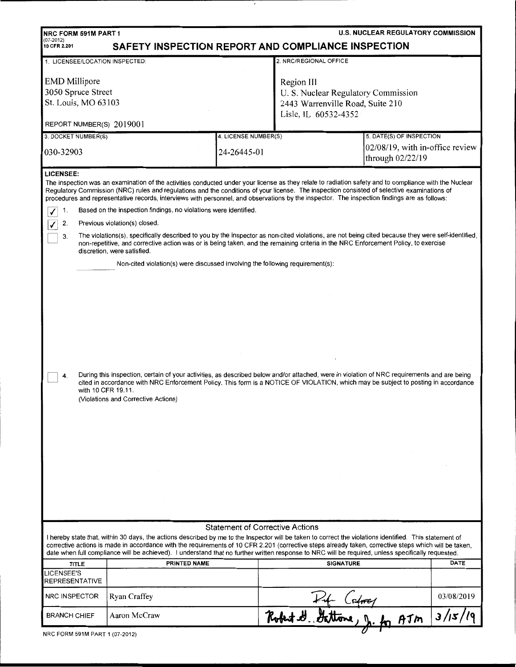| <b>U.S. NUCLEAR REGULATORY COMMISSION</b><br>NRC FORM 591M PART 1<br>$(07-2012)$<br>SAFETY INSPECTION REPORT AND COMPLIANCE INSPECTION<br>10 CFR 2.201                                                                                                                                                                                                                                                                                                                                                                                              |                                                                                                                                                                                                                                                                                                                        |                      |                                     |                                                     |            |  |  |  |  |
|-----------------------------------------------------------------------------------------------------------------------------------------------------------------------------------------------------------------------------------------------------------------------------------------------------------------------------------------------------------------------------------------------------------------------------------------------------------------------------------------------------------------------------------------------------|------------------------------------------------------------------------------------------------------------------------------------------------------------------------------------------------------------------------------------------------------------------------------------------------------------------------|----------------------|-------------------------------------|-----------------------------------------------------|------------|--|--|--|--|
| 2. NRC/REGIONAL OFFICE<br>1. LICENSEE/LOCATION INSPECTED:                                                                                                                                                                                                                                                                                                                                                                                                                                                                                           |                                                                                                                                                                                                                                                                                                                        |                      |                                     |                                                     |            |  |  |  |  |
|                                                                                                                                                                                                                                                                                                                                                                                                                                                                                                                                                     |                                                                                                                                                                                                                                                                                                                        |                      |                                     |                                                     |            |  |  |  |  |
| <b>EMD</b> Millipore                                                                                                                                                                                                                                                                                                                                                                                                                                                                                                                                |                                                                                                                                                                                                                                                                                                                        |                      | Region III                          |                                                     |            |  |  |  |  |
| 3050 Spruce Street                                                                                                                                                                                                                                                                                                                                                                                                                                                                                                                                  |                                                                                                                                                                                                                                                                                                                        |                      | U. S. Nuclear Regulatory Commission |                                                     |            |  |  |  |  |
| St. Louis, MO 63103                                                                                                                                                                                                                                                                                                                                                                                                                                                                                                                                 |                                                                                                                                                                                                                                                                                                                        |                      | 2443 Warrenville Road, Suite 210    |                                                     |            |  |  |  |  |
|                                                                                                                                                                                                                                                                                                                                                                                                                                                                                                                                                     |                                                                                                                                                                                                                                                                                                                        |                      | Lisle, IL 60532-4352                |                                                     |            |  |  |  |  |
| REPORT NUMBER(S) 2019001                                                                                                                                                                                                                                                                                                                                                                                                                                                                                                                            |                                                                                                                                                                                                                                                                                                                        |                      |                                     |                                                     |            |  |  |  |  |
| 3. DOCKET NUMBER(S)                                                                                                                                                                                                                                                                                                                                                                                                                                                                                                                                 |                                                                                                                                                                                                                                                                                                                        | 4. LICENSE NUMBER(S) |                                     | 5. DATE(S) OF INSPECTION                            |            |  |  |  |  |
| 030-32903                                                                                                                                                                                                                                                                                                                                                                                                                                                                                                                                           |                                                                                                                                                                                                                                                                                                                        | 24-26445-01          |                                     | 02/08/19, with in-office review<br>through 02/22/19 |            |  |  |  |  |
| <b>LICENSEE:</b><br>The inspection was an examination of the activities conducted under your license as they relate to radiation safety and to compliance with the Nuclear<br>Regulatory Commission (NRC) rules and regulations and the conditions of your license. The inspection consisted of selective examinations of<br>procedures and representative records, interviews with personnel, and observations by the inspector. The inspection findings are as follows:<br>Based on the inspection findings, no violations were identified.<br>1. |                                                                                                                                                                                                                                                                                                                        |                      |                                     |                                                     |            |  |  |  |  |
| 2.                                                                                                                                                                                                                                                                                                                                                                                                                                                                                                                                                  | Previous violation(s) closed.                                                                                                                                                                                                                                                                                          |                      |                                     |                                                     |            |  |  |  |  |
| 3.                                                                                                                                                                                                                                                                                                                                                                                                                                                                                                                                                  | The violations(s), specifically described to you by the inspector as non-cited violations, are not being cited because they were self-identified,<br>non-repetitive, and corrective action was or is being taken, and the remaining criteria in the NRC Enforcement Policy, to exercise<br>discretion, were satisfied. |                      |                                     |                                                     |            |  |  |  |  |
|                                                                                                                                                                                                                                                                                                                                                                                                                                                                                                                                                     | Non-cited violation(s) were discussed involving the following requirement(s):                                                                                                                                                                                                                                          |                      |                                     |                                                     |            |  |  |  |  |
| During this inspection, certain of your activities, as described below and/or attached, were in violation of NRC requirements and are being<br>4.<br>cited in accordance with NRC Enforcement Policy. This form is a NOTICE OF VIOLATION, which may be subject to posting in accordance<br>with 10 CFR 19.11.<br>(Violations and Corrective Actions)                                                                                                                                                                                                |                                                                                                                                                                                                                                                                                                                        |                      |                                     |                                                     |            |  |  |  |  |
| <b>Statement of Corrective Actions</b>                                                                                                                                                                                                                                                                                                                                                                                                                                                                                                              |                                                                                                                                                                                                                                                                                                                        |                      |                                     |                                                     |            |  |  |  |  |
| I hereby state that, within 30 days, the actions described by me to the Inspector will be taken to correct the violations identified. This statement of<br>corrective actions is made in accordance with the requirements of 10 CFR 2.201 (corrective steps already taken, corrective steps which will be taken,<br>date when full compliance will be achieved). I understand that no further written response to NRC will be required, unless specifically requested.                                                                              |                                                                                                                                                                                                                                                                                                                        |                      |                                     |                                                     |            |  |  |  |  |
| <b>TITLE</b>                                                                                                                                                                                                                                                                                                                                                                                                                                                                                                                                        | <b>PRINTED NAME</b>                                                                                                                                                                                                                                                                                                    |                      | <b>SIGNATURE</b>                    |                                                     | DATE       |  |  |  |  |
| <b>LICENSEE'S</b><br>REPRESENTATIVE                                                                                                                                                                                                                                                                                                                                                                                                                                                                                                                 |                                                                                                                                                                                                                                                                                                                        |                      |                                     |                                                     |            |  |  |  |  |
| NRC INSPECTOR                                                                                                                                                                                                                                                                                                                                                                                                                                                                                                                                       | Ryan Craffey                                                                                                                                                                                                                                                                                                           |                      |                                     |                                                     | 03/08/2019 |  |  |  |  |
| <b>BRANCH CHIEF</b>                                                                                                                                                                                                                                                                                                                                                                                                                                                                                                                                 | Aaron McCraw                                                                                                                                                                                                                                                                                                           |                      | Robert H. Getwee J. for AJM         |                                                     | 3/15/19    |  |  |  |  |
| NRC FORM 591M PART 1 (07-2012)                                                                                                                                                                                                                                                                                                                                                                                                                                                                                                                      |                                                                                                                                                                                                                                                                                                                        |                      |                                     |                                                     |            |  |  |  |  |

 $\epsilon$